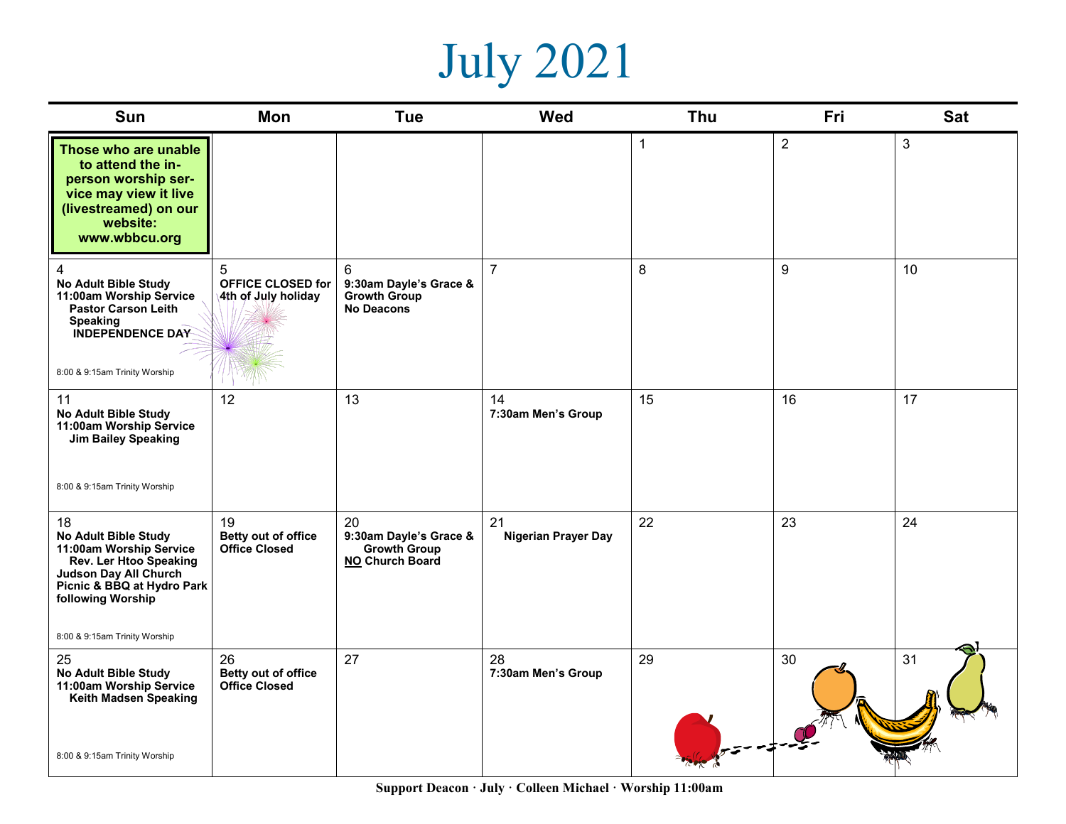## July 2021

| <b>Sun</b>                                                                                                                                                                                          | Mon                                                  | <b>Tue</b>                                                              | <b>Wed</b>                       | <b>Thu</b>   | <b>Fri</b>     | <b>Sat</b>     |
|-----------------------------------------------------------------------------------------------------------------------------------------------------------------------------------------------------|------------------------------------------------------|-------------------------------------------------------------------------|----------------------------------|--------------|----------------|----------------|
| Those who are unable<br>to attend the in-<br>person worship ser-<br>vice may view it live<br>(livestreamed) on our<br>website:<br>www.wbbcu.org                                                     |                                                      |                                                                         |                                  | $\mathbf{1}$ | $\overline{2}$ | $\mathfrak{S}$ |
| $\overline{4}$<br>No Adult Bible Study<br>11:00am Worship Service<br>Pastor Carson Leith<br>Speaking<br><b>INDEPENDENCE DAY</b><br>8:00 & 9:15am Trinity Worship                                    | 5<br><b>OFFICE CLOSED for</b><br>4th of July holiday | 6<br>9:30am Dayle's Grace &<br><b>Growth Group</b><br><b>No Deacons</b> | $\overline{7}$                   | 8            | 9              | 10             |
| 11<br>No Adult Bible Study<br>11:00am Worship Service<br><b>Jim Bailey Speaking</b><br>8:00 & 9:15am Trinity Worship                                                                                | 12                                                   | 13                                                                      | 14<br>7:30am Men's Group         | 15           | 16             | 17             |
| 18<br>No Adult Bible Study<br>11:00am Worship Service<br>Rev. Ler Htoo Speaking<br><b>Judson Day All Church</b><br>Picnic & BBQ at Hydro Park<br>following Worship<br>8:00 & 9:15am Trinity Worship | 19<br>Betty out of office<br><b>Office Closed</b>    | 20<br>9:30am Dayle's Grace &<br><b>Growth Group</b><br>NO Church Board  | 21<br><b>Nigerian Prayer Day</b> | 22           | 23             | 24             |
| 25<br><b>No Adult Bible Study</b><br>11:00am Worship Service<br>Keith Madsen Speaking<br>8:00 & 9:15am Trinity Worship                                                                              | 26<br>Betty out of office<br><b>Office Closed</b>    | 27                                                                      | 28<br>7:30am Men's Group         | 29           | 30             | 31             |